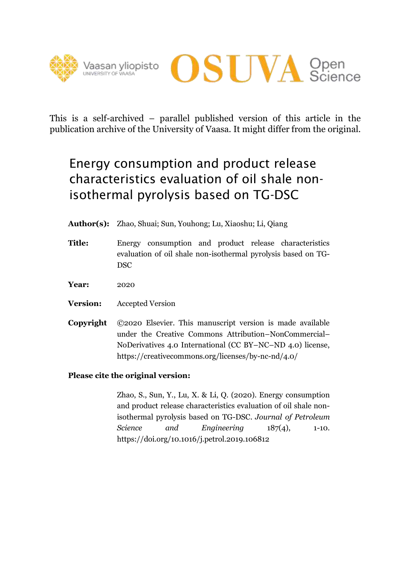



This is a self-archived – parallel published version of this article in the publication archive of the University of Vaasa. It might differ from the original.

# Energy consumption and product release characteristics evaluation of oil shale nonisothermal pyrolysis based on TG-DSC

**Author(s):** Zhao, Shuai; Sun, Youhong; Lu, Xiaoshu; Li, Qiang

- **Title:** Energy consumption and product release characteristics evaluation of oil shale non-isothermal pyrolysis based on TG-DSC
- **Year:** 2020
- **Version:** Accepted Version
- **Copyright** ©2020 Elsevier. This manuscript version is made available under the Creative Commons Attribution–NonCommercial– NoDerivatives 4.0 International (CC BY–NC–ND 4.0) license, https://creativecommons.org/licenses/by-nc-nd/4.0/

# **Please cite the original version:**

Zhao, S., Sun, Y., Lu, X. & Li, Q. (2020). Energy consumption and product release characteristics evaluation of oil shale nonisothermal pyrolysis based on TG-DSC. *Journal of Petroleum Science and Engineering* 187(4), 1-10. https://doi.org/10.1016/j.petrol.2019.106812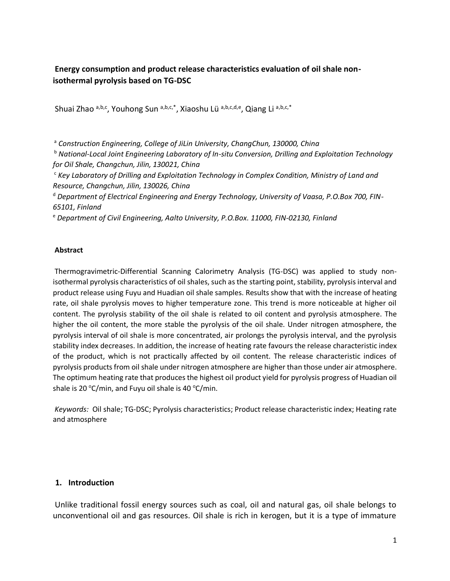# **Energy consumption and product release characteristics evaluation of oil shale nonisothermal pyrolysis based on TG-DSC**

Shuai Zhao a,b,c, Youhong Sun a,b,c,\*, Xiaoshu Lü a,b,c,d,e, Qiang Li a,b,c,\*

<sup>a</sup> *Construction Engineering, College of JiLin University, ChangChun, 130000, China*

<sup>b</sup> *National-Local Joint Engineering Laboratory of In-situ Conversion, Drilling and Exploitation Technology for Oil Shale, Changchun, Jilin, 130021, China*

<sup>c</sup> *Key Laboratory of Drilling and Exploitation Technology in Complex Condition, Ministry of Land and Resource, Changchun, Jilin, 130026, China* 

<sup>d</sup> *Department of Electrical Engineering and Energy Technology, University of Vaasa, P.O.Box 700, FIN-65101, Finland* 

<sup>e</sup> *Department of Civil Engineering, Aalto University, P.O.Box. 11000, FIN-02130, Finland*

#### **Abstract**

Thermogravimetric-Differential Scanning Calorimetry Analysis (TG-DSC) was applied to study nonisothermal pyrolysis characteristics of oil shales, such as the starting point, stability, pyrolysis interval and product release using Fuyu and Huadian oil shale samples. Results show that with the increase of heating rate, oil shale pyrolysis moves to higher temperature zone. This trend is more noticeable at higher oil content. The pyrolysis stability of the oil shale is related to oil content and pyrolysis atmosphere. The higher the oil content, the more stable the pyrolysis of the oil shale. Under nitrogen atmosphere, the pyrolysis interval of oil shale is more concentrated, air prolongs the pyrolysis interval, and the pyrolysis stability index decreases. In addition, the increase of heating rate favours the release characteristic index of the product, which is not practically affected by oil content. The release characteristic indices of pyrolysis products from oil shale under nitrogen atmosphere are higher than those under air atmosphere. The optimum heating rate that produces the highest oil product yield for pyrolysis progress of Huadian oil shale is 20 °C/min, and Fuyu oil shale is 40 °C/min.

*Keywords:* Oil shale; TG-DSC; Pyrolysis characteristics; Product release characteristic index; Heating rate and atmosphere

#### **1. Introduction**

Unlike traditional fossil energy sources such as coal, oil and natural gas, oil shale belongs to unconventional oil and gas resources. Oil shale is rich in kerogen, but it is a type of immature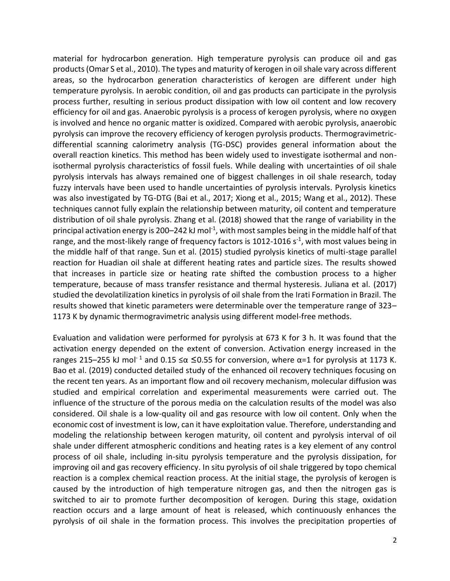material for hydrocarbon generation. High temperature pyrolysis can produce oil and gas products (Omar S et al., 2010). The types and maturity of kerogen in oil shale vary across different areas, so the hydrocarbon generation characteristics of kerogen are different under high temperature pyrolysis. In aerobic condition, oil and gas products can participate in the pyrolysis process further, resulting in serious product dissipation with low oil content and low recovery efficiency for oil and gas. Anaerobic pyrolysis is a process of kerogen pyrolysis, where no oxygen is involved and hence no organic matter is oxidized. Compared with aerobic pyrolysis, anaerobic pyrolysis can improve the recovery efficiency of kerogen pyrolysis products. Thermogravimetricdifferential scanning calorimetry analysis (TG-DSC) provides general information about the overall reaction kinetics. This method has been widely used to investigate isothermal and nonisothermal pyrolysis characteristics of fossil fuels. While dealing with uncertainties of oil shale pyrolysis intervals has always remained one of biggest challenges in oil shale research, today fuzzy intervals have been used to handle uncertainties of pyrolysis intervals. Pyrolysis kinetics was also investigated by TG-DTG (Bai et al., 2017; Xiong et al., 2015; Wang et al., 2012). These techniques cannot fully explain the relationship between maturity, oil content and temperature distribution of oil shale pyrolysis. Zhang et al. (2018) showed that the range of variability in the principal activation energy is 200–242 kJ mol<sup>-1</sup>, with most samples being in the middle half of that range, and the most-likely range of frequency factors is 1012-1016 s<sup>-1</sup>, with most values being in the middle half of that range. Sun et al. (2015) studied pyrolysis kinetics of multi-stage parallel reaction for Huadian oil shale at different heating rates and particle sizes. The results showed that increases in particle size or heating rate shifted the combustion process to a higher temperature, because of mass transfer resistance and thermal hysteresis. Juliana et al. (2017) studied the devolatilization kinetics in pyrolysis of oil shale from the Irati Formation in Brazil. The results showed that kinetic parameters were determinable over the temperature range of 323– 1173 K by dynamic thermogravimetric analysis using different model-free methods.

Evaluation and validation were performed for pyrolysis at 673 K for 3 h. It was found that the activation energy depended on the extent of conversion. Activation energy increased in the ranges 215–255 kJ mol<sup>-1</sup> and 0.15  $\leq \alpha \leq 0.55$  for conversion, where α=1 for pyrolysis at 1173 K. Bao et al. (2019) conducted detailed study of the enhanced oil recovery techniques focusing on the recent ten years. As an important flow and oil recovery mechanism, molecular diffusion was studied and empirical correlation and experimental measurements were carried out. The influence of the structure of the porous media on the calculation results of the model was also considered. Oil shale is a low-quality oil and gas resource with low oil content. Only when the economic cost of investment is low, can it have exploitation value. Therefore, understanding and modeling the relationship between kerogen maturity, oil content and pyrolysis interval of oil shale under different atmospheric conditions and heating rates is a key element of any control process of oil shale, including in-situ pyrolysis temperature and the pyrolysis dissipation, for improving oil and gas recovery efficiency. In situ pyrolysis of oil shale triggered by topo chemical reaction is a complex chemical reaction process. At the initial stage, the pyrolysis of kerogen is caused by the introduction of high temperature nitrogen gas, and then the nitrogen gas is switched to air to promote further decomposition of kerogen. During this stage, oxidation reaction occurs and a large amount of heat is released, which continuously enhances the pyrolysis of oil shale in the formation process. This involves the precipitation properties of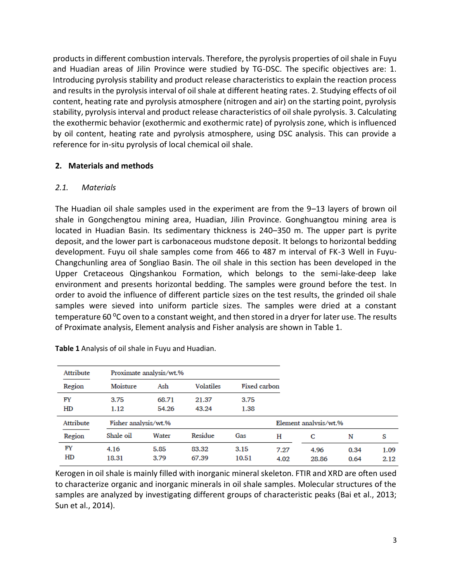products in different combustion intervals. Therefore, the pyrolysis properties of oil shale in Fuyu and Huadian areas of Jilin Province were studied by TG-DSC. The specific objectives are: 1. Introducing pyrolysis stability and product release characteristics to explain the reaction process and results in the pyrolysis interval of oil shale at different heating rates. 2. Studying effects of oil content, heating rate and pyrolysis atmosphere (nitrogen and air) on the starting point, pyrolysis stability, pyrolysis interval and product release characteristics of oil shale pyrolysis. 3. Calculating the exothermic behavior (exothermic and exothermic rate) of pyrolysis zone, which is influenced by oil content, heating rate and pyrolysis atmosphere, using DSC analysis. This can provide a reference for in-situ pyrolysis of local chemical oil shale.

## **2. Materials and methods**

## *2.1. Materials*

The Huadian oil shale samples used in the experiment are from the 9–13 layers of brown oil shale in Gongchengtou mining area, Huadian, Jilin Province. Gonghuangtou mining area is located in Huadian Basin. Its sedimentary thickness is 240–350 m. The upper part is pyrite deposit, and the lower part is carbonaceous mudstone deposit. It belongs to horizontal bedding development. Fuyu oil shale samples come from 466 to 487 m interval of FK-3 Well in Fuyu-Changchunling area of Songliao Basin. The oil shale in this section has been developed in the Upper Cretaceous Qingshankou Formation, which belongs to the semi-lake-deep lake environment and presents horizontal bedding. The samples were ground before the test. In order to avoid the influence of different particle sizes on the test results, the grinded oil shale samples were sieved into uniform particle sizes. The samples were dried at a constant temperature 60  $\degree$ C oven to a constant weight, and then stored in a dryer for later use. The results of Proximate analysis, Element analysis and Fisher analysis are shown in Table 1.

| Attribute | Proximate analysis/wt.% |       |                  |              |                       |       |      |      |
|-----------|-------------------------|-------|------------------|--------------|-----------------------|-------|------|------|
| Region    | Moisture                | Ash   | <b>Volatiles</b> | Fixed carbon |                       |       |      |      |
| FY        | 3.75                    | 68.71 | 21.37            | 3.75         |                       |       |      |      |
| HD        | 1.12                    | 54.26 | 43.24            | 1.38         |                       |       |      |      |
| Attribute | Fisher analysis/wt.%    |       |                  |              | Element analysis/wt.% |       |      |      |
| Region    | Shale oil               | Water | Residue          | Gas          | н                     | C     | N    | S    |
| FY        | 4.16                    | 5.85  | 83.32            | 3.15         | 7.27                  | 4.96  | 0.34 | 1.09 |
| HD        | 18.31                   | 3.79  | 67.39            | 10.51        | 4.02                  | 28.86 | 0.64 | 2.12 |

**Table 1** Analysis of oil shale in Fuyu and Huadian.

Kerogen in oil shale is mainly filled with inorganic mineral skeleton. FTIR and XRD are often used to characterize organic and inorganic minerals in oil shale samples. Molecular structures of the samples are analyzed by investigating different groups of characteristic peaks (Bai et al., 2013; Sun et al., 2014).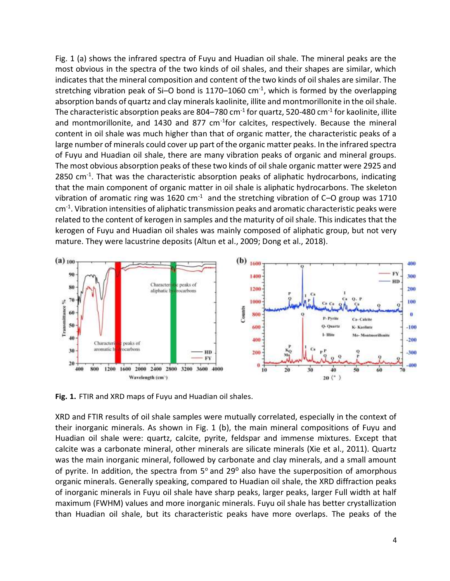Fig. 1 (a) shows the infrared spectra of Fuyu and Huadian oil shale. The mineral peaks are the most obvious in the spectra of the two kinds of oil shales, and their shapes are similar, which indicates that the mineral composition and content of the two kinds of oil shales are similar. The stretching vibration peak of Si-O bond is  $1170-1060$  cm<sup>-1</sup>, which is formed by the overlapping absorption bands of quartz and clay minerals kaolinite, illite and montmorillonite in the oil shale. The characteristic absorption peaks are 804–780 cm $^{\text{-}1}$  for quartz, 520-480 cm $^{\text{-}1}$  for kaolinite, illite and montmorillonite, and 1430 and 877 cm<sup>-1</sup>for calcites, respectively. Because the mineral content in oil shale was much higher than that of organic matter, the characteristic peaks of a large number of minerals could cover up part of the organic matter peaks. In the infrared spectra of Fuyu and Huadian oil shale, there are many vibration peaks of organic and mineral groups. The most obvious absorption peaks of these two kinds of oil shale organic matter were 2925 and 2850 cm<sup>-1</sup>. That was the characteristic absorption peaks of aliphatic hydrocarbons, indicating that the main component of organic matter in oil shale is aliphatic hydrocarbons. The skeleton vibration of aromatic ring was 1620 cm $^{-1}$  and the stretching vibration of C-O group was 1710 cm-1 . Vibration intensities of aliphatic transmission peaks and aromatic characteristic peaks were related to the content of kerogen in samples and the maturity of oil shale. This indicates that the kerogen of Fuyu and Huadian oil shales was mainly composed of aliphatic group, but not very mature. They were lacustrine deposits (Altun et al., 2009; Dong et al., 2018).



**Fig. 1.** FTIR and XRD maps of Fuyu and Huadian oil shales.

XRD and FTIR results of oil shale samples were mutually correlated, especially in the context of their inorganic minerals. As shown in Fig. 1 (b), the main mineral compositions of Fuyu and Huadian oil shale were: quartz, calcite, pyrite, feldspar and immense mixtures. Except that calcite was a carbonate mineral, other minerals are silicate minerals (Xie et al., 2011). Quartz was the main inorganic mineral, followed by carbonate and clay minerals, and a small amount of pyrite. In addition, the spectra from  $5^{\circ}$  and 29 $^{\circ}$  also have the superposition of amorphous organic minerals. Generally speaking, compared to Huadian oil shale, the XRD diffraction peaks of inorganic minerals in Fuyu oil shale have sharp peaks, larger peaks, larger Full width at half maximum (FWHM) values and more inorganic minerals. Fuyu oil shale has better crystallization than Huadian oil shale, but its characteristic peaks have more overlaps. The peaks of the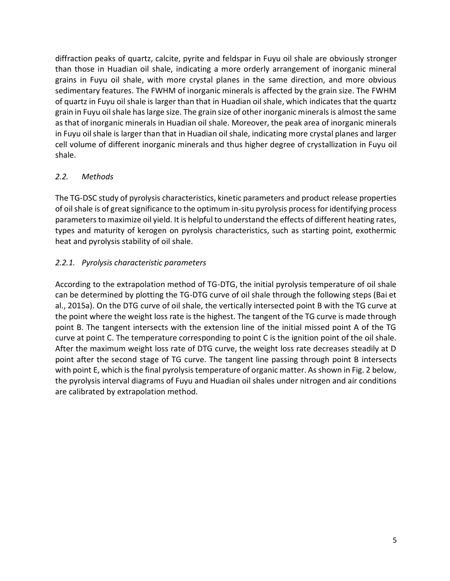diffraction peaks of quartz, calcite, pyrite and feldspar in Fuyu oil shale are obviously stronger than those in Huadian oil shale, indicating a more orderly arrangement of inorganic mineral grains in Fuyu oil shale, with more crystal planes in the same direction, and more obvious sedimentary features. The FWHM of inorganic minerals is affected by the grain size. The FWHM of quartz in Fuyu oil shale is larger than that in Huadian oil shale, which indicates that the quartz grain in Fuyu oil shale has large size. The grain size of other inorganic minerals is almost the same as that of inorganic minerals in Huadian oil shale. Moreover, the peak area of inorganic minerals in Fuyu oil shale is larger than that in Huadian oil shale, indicating more crystal planes and larger cell volume of different inorganic minerals and thus higher degree of crystallization in Fuyu oil shale.

# *2.2. Methods*

The TG-DSC study of pyrolysis characteristics, kinetic parameters and product release properties of oil shale is of great significance to the optimum in-situ pyrolysis process for identifying process parameters to maximize oil yield. It is helpful to understand the effects of different heating rates, types and maturity of kerogen on pyrolysis characteristics, such as starting point, exothermic heat and pyrolysis stability of oil shale.

# *2.2.1. Pyrolysis characteristic parameters*

According to the extrapolation method of TG-DTG, the initial pyrolysis temperature of oil shale can be determined by plotting the TG-DTG curve of oil shale through the following steps (Bai et al., 2015a). On the DTG curve of oil shale, the vertically intersected point B with the TG curve at the point where the weight loss rate is the highest. The tangent of the TG curve is made through point B. The tangent intersects with the extension line of the initial missed point A of the TG curve at point C. The temperature corresponding to point C is the ignition point of the oil shale. After the maximum weight loss rate of DTG curve, the weight loss rate decreases steadily at D point after the second stage of TG curve. The tangent line passing through point B intersects with point E, which is the final pyrolysis temperature of organic matter. As shown in Fig. 2 below, the pyrolysis interval diagrams of Fuyu and Huadian oil shales under nitrogen and air conditions are calibrated by extrapolation method.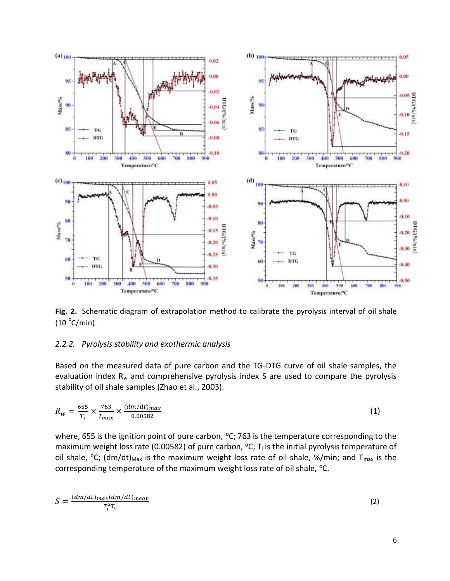

**Fig. 2.** Schematic diagram of extrapolation method to calibrate the pyrolysis interval of oil shale  $(10 \text{ °C/min}).$ 

#### *2.2.2. Pyrolysis stability and exothermic analysis*

Based on the measured data of pure carbon and the TG-DTG curve of oil shale samples, the evaluation index R*<sup>w</sup>* and comprehensive pyrolysis index S are used to compare the pyrolysis stability of oil shale samples (Zhao et al., 2003).

$$
R_{w} = \frac{655}{T_i} \times \frac{763}{T_{max}} \times \frac{(dm/dt)_{max}}{0.00582}
$$
 (1)

where, 655 is the ignition point of pure carbon,  $^{\circ}$ C; 763 is the temperature corresponding to the maximum weight loss rate (0.00582) of pure carbon,  $^{\circ}C$ ; T<sub>i</sub> is the initial pyrolysis temperature of oil shale,  $\degree$ C; (dm/dt)<sub>Max</sub> is the maximum weight loss rate of oil shale, %/min; and T<sub>max</sub> is the corresponding temperature of the maximum weight loss rate of oil shale, °C.

$$
S = \frac{(dm/dt)_{max}(dm/dt)_{mean}}{T_i^2 T_c}
$$
 (2)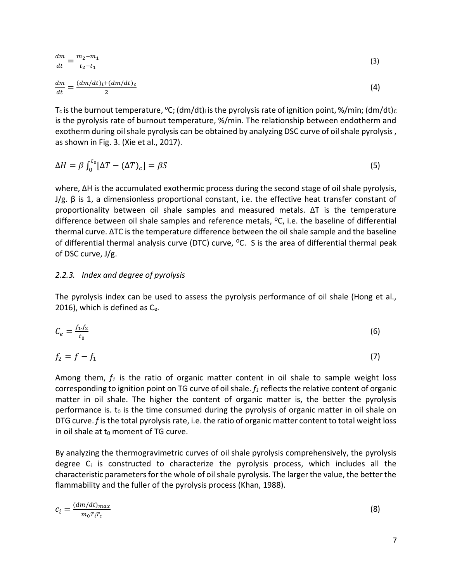$$
\frac{dm}{dt} = \frac{m_2 - m_1}{t_2 - t_1} \tag{3}
$$

$$
\frac{dm}{dt} = \frac{(dm/dt)_i + (dm/dt)_c}{2} \tag{4}
$$

 $T_c$  is the burnout temperature,  ${}^{\circ}C$ ; (dm/dt)<sub>i</sub> is the pyrolysis rate of ignition point, %/min; (dm/dt)<sub>c</sub> is the pyrolysis rate of burnout temperature, %/min. The relationship between endotherm and exotherm during oil shale pyrolysis can be obtained by analyzing DSC curve of oil shale pyrolysis , as shown in Fig. 3. (Xie et al., 2017).

$$
\Delta H = \beta \int_0^{t_0} [\Delta T - (\Delta T)_c] = \beta S \tag{5}
$$

where, ΔH is the accumulated exothermic process during the second stage of oil shale pyrolysis, J/g. β is 1, a dimensionless proportional constant, i.e. the effective heat transfer constant of proportionality between oil shale samples and measured metals. ΔT is the temperature difference between oil shale samples and reference metals,  $^{\circ}$ C, i.e. the baseline of differential thermal curve. ΔTC is the temperature difference between the oil shale sample and the baseline of differential thermal analysis curve (DTC) curve,  $^{\circ}$ C. S is the area of differential thermal peak of DSC curve, J/g.

### *2.2.3. Index and degree of pyrolysis*

The pyrolysis index can be used to assess the pyrolysis performance of oil shale (Hong et al., 2016), which is defined as  $C_{e}$ .

$$
C_e = \frac{f_1 f_2}{t_0} \tag{6}
$$

$$
f_2 = f - f_1 \tag{7}
$$

Among them, *f<sup>1</sup>* is the ratio of organic matter content in oil shale to sample weight loss corresponding to ignition point on TG curve of oil shale. *f<sup>1</sup>* reflects the relative content of organic matter in oil shale. The higher the content of organic matter is, the better the pyrolysis performance is.  $t_0$  is the time consumed during the pyrolysis of organic matter in oil shale on DTG curve. *f* is the total pyrolysis rate, i.e. the ratio of organic matter content to total weight loss in oil shale at  $t_0$  moment of TG curve.

By analyzing the thermogravimetric curves of oil shale pyrolysis comprehensively, the pyrolysis degree  $C_i$  is constructed to characterize the pyrolysis process, which includes all the characteristic parameters for the whole of oil shale pyrolysis. The larger the value, the better the flammability and the fuller of the pyrolysis process (Khan, 1988).

$$
c_i = \frac{(dm/dt)_{max}}{m_0 T_i T_c}
$$
\n(8)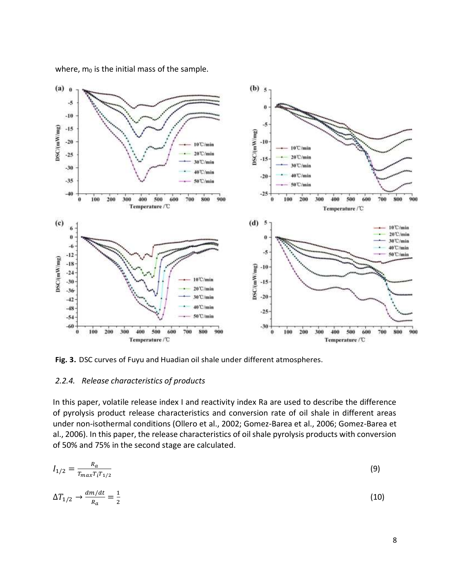where,  $m_0$  is the initial mass of the sample.



**Fig. 3.** DSC curves of Fuyu and Huadian oil shale under different atmospheres.

#### *2.2.4. Release characteristics of products*

In this paper, volatile release index I and reactivity index Ra are used to describe the difference of pyrolysis product release characteristics and conversion rate of oil shale in different areas under non-isothermal conditions (Ollero et al., 2002; Gomez-Barea et al., 2006; Gomez-Barea et al., 2006). In this paper, the release characteristics of oil shale pyrolysis products with conversion of 50% and 75% in the second stage are calculated.

$$
I_{1/2} = \frac{R_a}{T_{max}T_iT_{1/2}}
$$
(9)

$$
\Delta T_{1/2} \to \frac{dm/dt}{R_a} = \frac{1}{2} \tag{10}
$$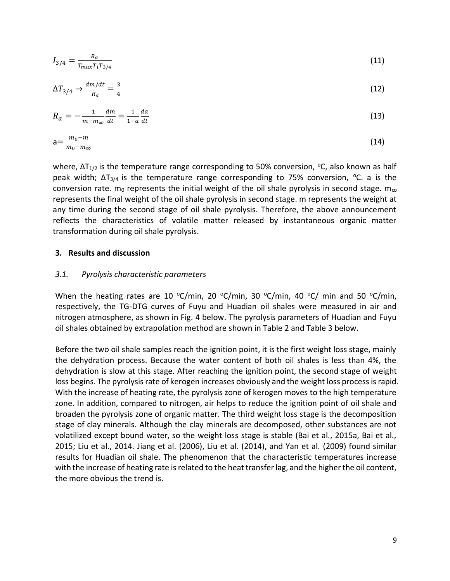$$
I_{3/4} = \frac{R_a}{T_{max}T_iT_{3/4}}
$$
(11)

$$
\Delta T_{3/4} \to \frac{dm/dt}{R_a} = \frac{3}{4} \tag{12}
$$

$$
R_a = -\frac{1}{m - m_\infty} \frac{dm}{dt} = \frac{1}{1 - a} \frac{da}{dt}
$$
\n(13)

$$
a = \frac{m_o - m}{m_o - m_\infty} \tag{14}
$$

where,  $\Delta T_{1/2}$  is the temperature range corresponding to 50% conversion, °C, also known as half peak width;  $\Delta T_{3/4}$  is the temperature range corresponding to 75% conversion, <sup>o</sup>C. a is the conversion rate.  $m_0$  represents the initial weight of the oil shale pyrolysis in second stage.  $m_{\infty}$ represents the final weight of the oil shale pyrolysis in second stage. m represents the weight at any time during the second stage of oil shale pyrolysis. Therefore, the above announcement reflects the characteristics of volatile matter released by instantaneous organic matter transformation during oil shale pyrolysis.

#### **3. Results and discussion**

#### *3.1. Pyrolysis characteristic parameters*

When the heating rates are 10 °C/min, 20 °C/min, 30 °C/min, 40 °C/ min and 50 °C/min, respectively, the TG-DTG curves of Fuyu and Huadian oil shales were measured in air and nitrogen atmosphere, as shown in Fig. 4 below. The pyrolysis parameters of Huadian and Fuyu oil shales obtained by extrapolation method are shown in Table 2 and Table 3 below.

Before the two oil shale samples reach the ignition point, it is the first weight loss stage, mainly the dehydration process. Because the water content of both oil shales is less than 4%, the dehydration is slow at this stage. After reaching the ignition point, the second stage of weight loss begins. The pyrolysis rate of kerogen increases obviously and the weight loss process is rapid. With the increase of heating rate, the pyrolysis zone of kerogen moves to the high temperature zone. In addition, compared to nitrogen, air helps to reduce the ignition point of oil shale and broaden the pyrolysis zone of organic matter. The third weight loss stage is the decomposition stage of clay minerals. Although the clay minerals are decomposed, other substances are not volatilized except bound water, so the weight loss stage is stable (Bai et al., 2015a, Bai et al., 2015; Liu et al., 2014. Jiang et al. (2006), Liu et al. (2014), and Yan et al. (2009) found similar results for Huadian oil shale. The phenomenon that the characteristic temperatures increase with the increase of heating rate is related to the heat transfer lag, and the higher the oil content, the more obvious the trend is.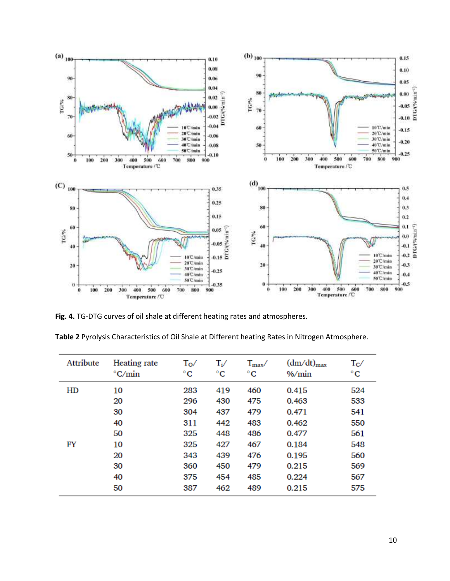

**Fig. 4.** TG-DTG curves of oil shale at different heating rates and atmospheres.

| Table 2 Pyrolysis Characteristics of Oil Shale at Different heating Rates in Nitrogen Atmosphere. |  |  |
|---------------------------------------------------------------------------------------------------|--|--|
|---------------------------------------------------------------------------------------------------|--|--|

| Attribute | Heating rate<br>$\mathrm{C/min}$ | $\rm T_{O}/$<br>$^{\circ}$ C | $T_i/$<br>$^{\circ}$ C | $T_{\rm max}$<br>$^{\circ}$ C | $(dm/dt)_{max}$<br>$\%$ /min | $T_{\rm C}$<br>$^{\circ}$ C |
|-----------|----------------------------------|------------------------------|------------------------|-------------------------------|------------------------------|-----------------------------|
| HD        | 10                               | 283                          | 419                    | 460                           | 0.415                        | 524                         |
|           | 20                               | 296                          | 430                    | 475                           | 0.463                        | 533                         |
|           | 30                               | 304                          | 437                    | 479                           | 0.471                        | 541                         |
|           | 40                               | 311                          | 442                    | 483                           | 0.462                        | 550                         |
|           | 50                               | 325                          | 448                    | 486                           | 0.477                        | 561                         |
| FY        | 10                               | 325                          | 427                    | 467                           | 0.184                        | 548                         |
|           | 20                               | 343                          | 439                    | 476                           | 0.195                        | 560                         |
|           | 30                               | 360                          | 450                    | 479                           | 0.215                        | 569                         |
|           | 40                               | 375                          | 454                    | 485                           | 0.224                        | 567                         |
|           | 50                               | 387                          | 462                    | 489                           | 0.215                        | 575                         |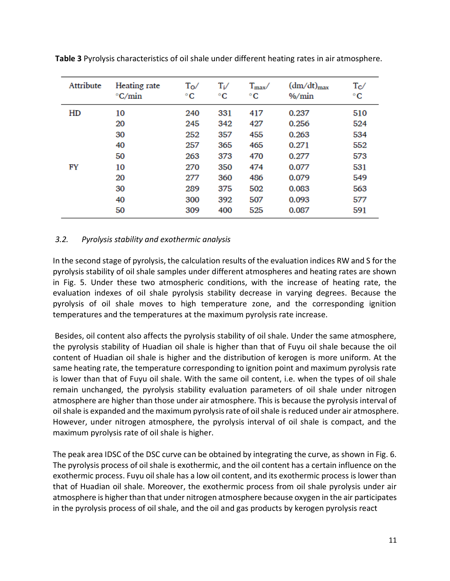| Attribute | Heating rate<br>$\mathrm{C/min}$ | $T_{\rm O}/$<br>$^{\circ}$ C | $\mathrm{T_{i}}/$<br>$^{\circ}C$ | $T_{\rm max}$ /<br>$^{\circ}$ C | $(dm/dt)_{max}$<br>$\%$ / $min$ | $T_{\rm C}$<br>$^{\circ}$ C |
|-----------|----------------------------------|------------------------------|----------------------------------|---------------------------------|---------------------------------|-----------------------------|
| HD        | 10                               | 240                          | 331                              | 417                             | 0.237                           | 510                         |
|           | 20                               | 245                          | 342                              | 427                             | 0.256                           | 524                         |
|           | 30                               | 252                          | 357                              | 455                             | 0.263                           | 534                         |
|           | 40                               | 257                          | 365                              | 465                             | 0.271                           | 552                         |
|           | 50                               | 263                          | 373                              | 470                             | 0.277                           | 573                         |
| FY        | 10                               | 270                          | 350                              | 474                             | 0.077                           | 531                         |
|           | 20                               | 277                          | 360                              | 486                             | 0.079                           | 549                         |
|           | 30                               | 289                          | 375                              | 502                             | 0.083                           | 563                         |
|           | 40                               | 300                          | 392                              | 507                             | 0.093                           | 577                         |
|           | 50                               | 309                          | 400                              | 525                             | 0.087                           | 591                         |

**Table 3** Pyrolysis characteristics of oil shale under different heating rates in air atmosphere.

## *3.2. Pyrolysis stability and exothermic analysis*

In the second stage of pyrolysis, the calculation results of the evaluation indices RW and S for the pyrolysis stability of oil shale samples under different atmospheres and heating rates are shown in Fig. 5. Under these two atmospheric conditions, with the increase of heating rate, the evaluation indexes of oil shale pyrolysis stability decrease in varying degrees. Because the pyrolysis of oil shale moves to high temperature zone, and the corresponding ignition temperatures and the temperatures at the maximum pyrolysis rate increase.

Besides, oil content also affects the pyrolysis stability of oil shale. Under the same atmosphere, the pyrolysis stability of Huadian oil shale is higher than that of Fuyu oil shale because the oil content of Huadian oil shale is higher and the distribution of kerogen is more uniform. At the same heating rate, the temperature corresponding to ignition point and maximum pyrolysis rate is lower than that of Fuyu oil shale. With the same oil content, i.e. when the types of oil shale remain unchanged, the pyrolysis stability evaluation parameters of oil shale under nitrogen atmosphere are higher than those under air atmosphere. This is because the pyrolysis interval of oil shale is expanded and the maximum pyrolysis rate of oil shale is reduced under air atmosphere. However, under nitrogen atmosphere, the pyrolysis interval of oil shale is compact, and the maximum pyrolysis rate of oil shale is higher.

The peak area IDSC of the DSC curve can be obtained by integrating the curve, as shown in Fig. 6. The pyrolysis process of oil shale is exothermic, and the oil content has a certain influence on the exothermic process. Fuyu oil shale has a low oil content, and its exothermic process is lower than that of Huadian oil shale. Moreover, the exothermic process from oil shale pyrolysis under air atmosphere is higher than that under nitrogen atmosphere because oxygen in the air participates in the pyrolysis process of oil shale, and the oil and gas products by kerogen pyrolysis react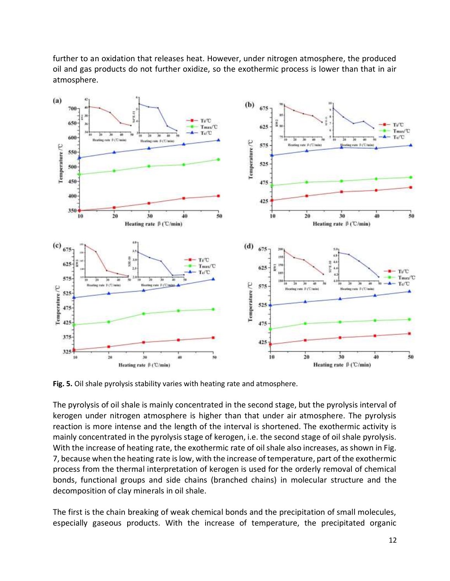further to an oxidation that releases heat. However, under nitrogen atmosphere, the produced oil and gas products do not further oxidize, so the exothermic process is lower than that in air atmosphere.



**Fig. 5.** Oil shale pyrolysis stability varies with heating rate and atmosphere.

The pyrolysis of oil shale is mainly concentrated in the second stage, but the pyrolysis interval of kerogen under nitrogen atmosphere is higher than that under air atmosphere. The pyrolysis reaction is more intense and the length of the interval is shortened. The exothermic activity is mainly concentrated in the pyrolysis stage of kerogen, i.e. the second stage of oil shale pyrolysis. With the increase of heating rate, the exothermic rate of oil shale also increases, as shown in Fig. 7, because when the heating rate is low, with the increase of temperature, part of the exothermic process from the thermal interpretation of kerogen is used for the orderly removal of chemical bonds, functional groups and side chains (branched chains) in molecular structure and the decomposition of clay minerals in oil shale.

The first is the chain breaking of weak chemical bonds and the precipitation of small molecules, especially gaseous products. With the increase of temperature, the precipitated organic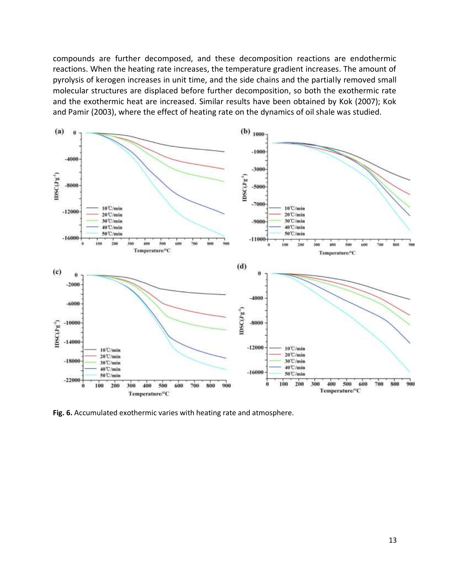compounds are further decomposed, and these decomposition reactions are endothermic reactions. When the heating rate increases, the temperature gradient increases. The amount of pyrolysis of kerogen increases in unit time, and the side chains and the partially removed small molecular structures are displaced before further decomposition, so both the exothermic rate and the exothermic heat are increased. Similar results have been obtained by Kok (2007); Kok and Pamir (2003), where the effect of heating rate on the dynamics of oil shale was studied.



**Fig. 6.** Accumulated exothermic varies with heating rate and atmosphere.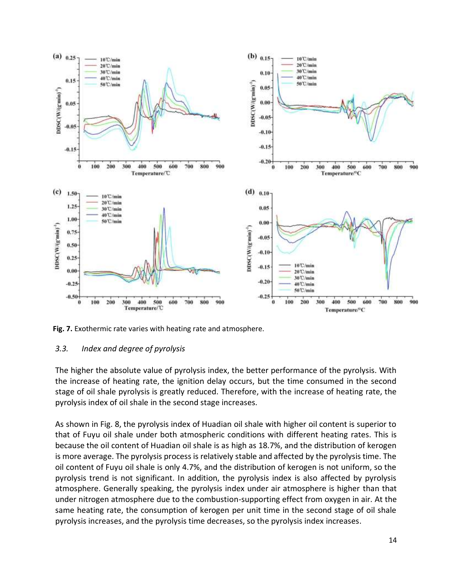

**Fig. 7.** Exothermic rate varies with heating rate and atmosphere.

# *3.3. Index and degree of pyrolysis*

The higher the absolute value of pyrolysis index, the better performance of the pyrolysis. With the increase of heating rate, the ignition delay occurs, but the time consumed in the second stage of oil shale pyrolysis is greatly reduced. Therefore, with the increase of heating rate, the pyrolysis index of oil shale in the second stage increases.

As shown in Fig. 8, the pyrolysis index of Huadian oil shale with higher oil content is superior to that of Fuyu oil shale under both atmospheric conditions with different heating rates. This is because the oil content of Huadian oil shale is as high as 18.7%, and the distribution of kerogen is more average. The pyrolysis process is relatively stable and affected by the pyrolysis time. The oil content of Fuyu oil shale is only 4.7%, and the distribution of kerogen is not uniform, so the pyrolysis trend is not significant. In addition, the pyrolysis index is also affected by pyrolysis atmosphere. Generally speaking, the pyrolysis index under air atmosphere is higher than that under nitrogen atmosphere due to the combustion-supporting effect from oxygen in air. At the same heating rate, the consumption of kerogen per unit time in the second stage of oil shale pyrolysis increases, and the pyrolysis time decreases, so the pyrolysis index increases.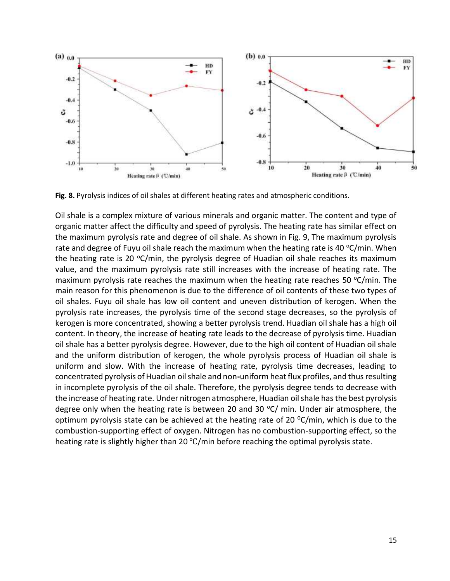

**Fig. 8.** Pyrolysis indices of oil shales at different heating rates and atmospheric conditions.

Oil shale is a complex mixture of various minerals and organic matter. The content and type of organic matter affect the difficulty and speed of pyrolysis. The heating rate has similar effect on the maximum pyrolysis rate and degree of oil shale. As shown in Fig. 9, The maximum pyrolysis rate and degree of Fuyu oil shale reach the maximum when the heating rate is 40  $\rm{°C/min}$ . When the heating rate is 20  $\textdegree C/min$ , the pyrolysis degree of Huadian oil shale reaches its maximum value, and the maximum pyrolysis rate still increases with the increase of heating rate. The maximum pyrolysis rate reaches the maximum when the heating rate reaches 50  $^{\circ}$ C/min. The main reason for this phenomenon is due to the difference of oil contents of these two types of oil shales. Fuyu oil shale has low oil content and uneven distribution of kerogen. When the pyrolysis rate increases, the pyrolysis time of the second stage decreases, so the pyrolysis of kerogen is more concentrated, showing a better pyrolysis trend. Huadian oil shale has a high oil content. In theory, the increase of heating rate leads to the decrease of pyrolysis time. Huadian oil shale has a better pyrolysis degree. However, due to the high oil content of Huadian oil shale and the uniform distribution of kerogen, the whole pyrolysis process of Huadian oil shale is uniform and slow. With the increase of heating rate, pyrolysis time decreases, leading to concentrated pyrolysis of Huadian oil shale and non**-**uniform heat flux profiles, and thus resulting in incomplete pyrolysis of the oil shale. Therefore, the pyrolysis degree tends to decrease with the increase of heating rate. Under nitrogen atmosphere, Huadian oil shale has the best pyrolysis degree only when the heating rate is between 20 and 30  $\degree$ C/ min. Under air atmosphere, the optimum pyrolysis state can be achieved at the heating rate of 20  $^{\circ}$ C/min, which is due to the combustion-supporting effect of oxygen. Nitrogen has no combustion-supporting effect, so the heating rate is slightly higher than 20 ℃/min before reaching the optimal pyrolysis state.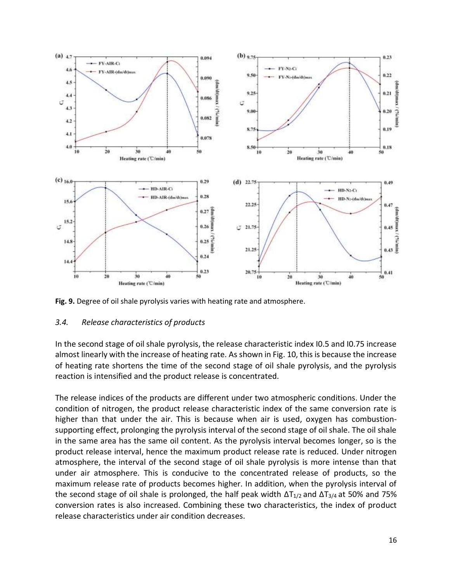

**Fig. 9.** Degree of oil shale pyrolysis varies with heating rate and atmosphere.

# *3.4. Release characteristics of products*

In the second stage of oil shale pyrolysis, the release characteristic index I0.5 and I0.75 increase almost linearly with the increase of heating rate. As shown in Fig. 10, this is because the increase of heating rate shortens the time of the second stage of oil shale pyrolysis, and the pyrolysis reaction is intensified and the product release is concentrated.

The release indices of the products are different under two atmospheric conditions. Under the condition of nitrogen, the product release characteristic index of the same conversion rate is higher than that under the air. This is because when air is used, oxygen has combustionsupporting effect, prolonging the pyrolysis interval of the second stage of oil shale. The oil shale in the same area has the same oil content. As the pyrolysis interval becomes longer, so is the product release interval, hence the maximum product release rate is reduced. Under nitrogen atmosphere, the interval of the second stage of oil shale pyrolysis is more intense than that under air atmosphere. This is conducive to the concentrated release of products, so the maximum release rate of products becomes higher. In addition, when the pyrolysis interval of the second stage of oil shale is prolonged, the half peak width  $\Delta T_{1/2}$  and  $\Delta T_{3/4}$  at 50% and 75% conversion rates is also increased. Combining these two characteristics, the index of product release characteristics under air condition decreases.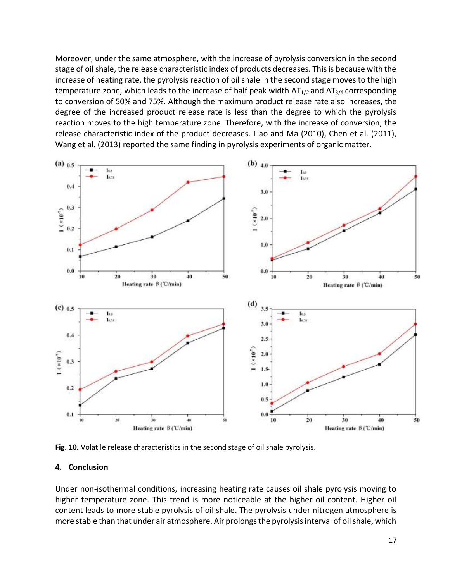Moreover, under the same atmosphere, with the increase of pyrolysis conversion in the second stage of oil shale, the release characteristic index of products decreases. This is because with the increase of heating rate, the pyrolysis reaction of oil shale in the second stage moves to the high temperature zone, which leads to the increase of half peak width  $\Delta T_{1/2}$  and  $\Delta T_{3/4}$  corresponding to conversion of 50% and 75%. Although the maximum product release rate also increases, the degree of the increased product release rate is less than the degree to which the pyrolysis reaction moves to the high temperature zone. Therefore, with the increase of conversion, the release characteristic index of the product decreases. Liao and Ma (2010), Chen et al. (2011), Wang et al. (2013) reported the same finding in pyrolysis experiments of organic matter.



**Fig. 10.** Volatile release characteristics in the second stage of oil shale pyrolysis.

#### **4. Conclusion**

Under non-isothermal conditions, increasing heating rate causes oil shale pyrolysis moving to higher temperature zone. This trend is more noticeable at the higher oil content. Higher oil content leads to more stable pyrolysis of oil shale. The pyrolysis under nitrogen atmosphere is more stable than that under air atmosphere. Air prolongs the pyrolysis interval of oil shale, which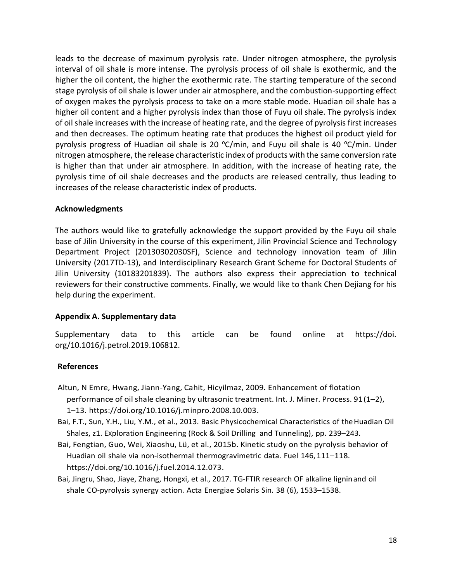leads to the decrease of maximum pyrolysis rate. Under nitrogen atmosphere, the pyrolysis interval of oil shale is more intense. The pyrolysis process of oil shale is exothermic, and the higher the oil content, the higher the exothermic rate. The starting temperature of the second stage pyrolysis of oil shale is lower under air atmosphere, and the combustion-supporting effect of oxygen makes the pyrolysis process to take on a more stable mode. Huadian oil shale has a higher oil content and a higher pyrolysis index than those of Fuyu oil shale. The pyrolysis index of oil shale increases with the increase of heating rate, and the degree of pyrolysis first increases and then decreases. The optimum heating rate that produces the highest oil product yield for pyrolysis progress of Huadian oil shale is 20  $\textdegree C/\text{min}$ , and Fuyu oil shale is 40  $\textdegree C/\text{min}$ . Under nitrogen atmosphere, the release characteristic index of products with the same conversion rate is higher than that under air atmosphere. In addition, with the increase of heating rate, the pyrolysis time of oil shale decreases and the products are released centrally, thus leading to increases of the release characteristic index of products.

### **Acknowledgments**

The authors would like to gratefully acknowledge the support provided by the Fuyu oil shale base of Jilin University in the course of this experiment, Jilin Provincial Science and Technology Department Project (20130302030SF), Science and technology innovation team of Jilin University (2017TD-13), and Interdisciplinary Research Grant Scheme for Doctoral Students of Jilin University (10183201839). The authors also express their appreciation to technical reviewers for their constructive comments. Finally, we would like to thank Chen Dejiang for his help during the experiment.

### **Appendix A. Supplementary data**

Supplementary data to this article can be found online at https://doi. org/10.1016/j.petrol.2019.106812.

### **References**

- Altun, N Emre, Hwang, Jiann-Yang, Cahit, Hicyilmaz, 2009. Enhancement of flotation performance of oil shale cleaning by ultrasonic treatment. Int. J. Miner. Process. 91(1–2), 1–13. https://doi.org/10.1016/j.minpro.2008.10.003.
- Bai, F.T., Sun, Y.H., Liu, Y.M., et al., 2013. Basic Physicochemical Characteristics of theHuadian Oil Shales, z1. EXploration Engineering (Rock & Soil Drilling and Tunneling), pp. 239–243.
- Bai, Fengtian, Guo, Wei, Xiaoshu, Lü, et al., 2015b. Kinetic study on the pyrolysis behavior of Huadian oil shale via non-isothermal thermogravimetric data. Fuel 146,111–118. https://doi.org/10.1016/j.fuel.2014.12.073.
- Bai, Jingru, Shao, Jiaye, Zhang, Hongxi, et al., 2017. TG-FTIR research OF alkaline ligninand oil shale CO-pyrolysis synergy action. Acta Energiae Solaris Sin. 38 (6), 1533–1538.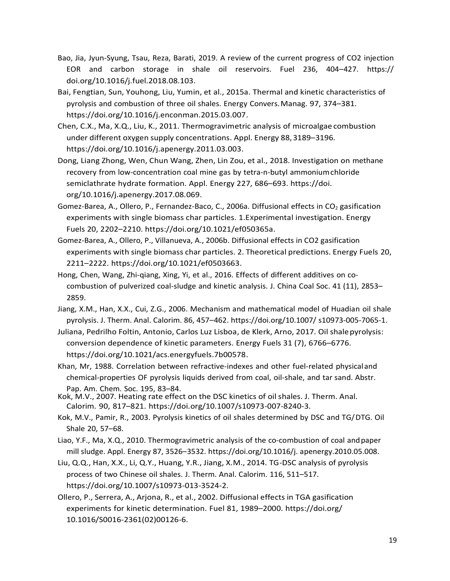- Bao, Jia, Jyun-Syung, Tsau, Reza, Barati, 2019. A review of the current progress of CO2 injection EOR and carbon storage in shale oil reservoirs. Fuel 236, 404–427. https:// doi.org/10.1016/j.fuel.2018.08.103.
- Bai, Fengtian, Sun, Youhong, Liu, Yumin, et al., 2015a. Thermal and kinetic characteristics of pyrolysis and combustion of three oil shales. Energy Convers.Manag. 97, 374–381. https://doi.org/10.1016/j.enconman.2015.03.007.
- Chen, C.X., Ma, X.Q., Liu, K., 2011. Thermogravimetric analysis of microalgae combustion under different oXygen supply concentrations. Appl. Energy 88,3189–3196. https://doi.org/10.1016/j.apenergy.2011.03.003.
- Dong, Liang Zhong, Wen, Chun Wang, Zhen, Lin Zou, et al., 2018. Investigation on methane recovery from low-concentration coal mine gas by tetra-n-butyl ammoniumchloride semiclathrate hydrate formation. Appl. Energy 227, 686–693. https://doi. org/10.1016/j.apenergy.2017.08.069.
- Gomez-Barea, A., Ollero, P., Fernandez-Baco, C., 2006a. Diffusional effects in CO<sub>2</sub> gasification experiments with single biomass char particles. 1.EXperimental investigation. Energy Fuels 20, 2202–2210. https://doi.org/10.1021/ef050365a.
- Gomez-Barea, A., Ollero, P., Villanueva, A., 2006b. Diffusional effects in CO2 gasification experiments with single biomass char particles. 2. Theoretical predictions. Energy Fuels 20, 2211–2222. https://doi.org/10.1021/ef0503663.
- Hong, Chen, Wang, Zhi-qiang, Xing, Yi, et al., 2016. Effects of different additives on cocombustion of pulverized coal-sludge and kinetic analysis. J. China Coal Soc. 41 (11), 2853– 2859.
- Jiang, X.M., Han, X.X., Cui, Z.G., 2006. Mechanism and mathematical model of Huadian oil shale pyrolysis. J. Therm. Anal. Calorim. 86, 457–462. https://doi.org/10.1007/ s10973-005-7065-1.
- Juliana, Pedrilho Foltin, Antonio, Carlos Luz Lisboa, de Klerk, Arno, 2017. Oil shalepyrolysis: conversion dependence of kinetic parameters. Energy Fuels 31 (7), 6766–6776. https://doi.org/10.1021/acs.energyfuels.7b00578.
- Khan, Mr, 1988. Correlation between refractive-indexes and other fuel-related physicaland chemical-properties OF pyrolysis liquids derived from coal, oil-shale, and tar sand. Abstr. Pap. Am. Chem. Soc. 195, 83–84.
- Kok, M.V., 2007. Heating rate effect on the DSC kinetics of oilshales. J. Therm. Anal. Calorim. 90, 817–821. https://doi.org/10.1007/s10973-007-8240-3.
- Kok, M.V., Pamir, R., 2003. Pyrolysis kinetics of oil shales determined by DSC and TG/DTG. Oil Shale 20, 57–68.
- Liao, Y.F., Ma, X.Q., 2010. Thermogravimetric analysis of the co-combustion of coal andpaper mill sludge. Appl. Energy 87, 3526–3532. https://doi.org/10.1016/j. apenergy.2010.05.008.
- Liu, Q.Q., Han, X.X., Li, Q.Y., Huang, Y.R., Jiang, X.M., 2014. TG-DSC analysis of pyrolysis process of two Chinese oil shales. J. Therm. Anal. Calorim. 116, 511–517. https://doi.org/10.1007/s10973-013-3524-2.
- Ollero, P., Serrera, A., Arjona, R., et al., 2002. Diffusional effects in TGA gasification experiments for kinetic determination. Fuel 81, 1989–2000. https://doi.org/ 10.1016/S0016-2361(02)00126-6.